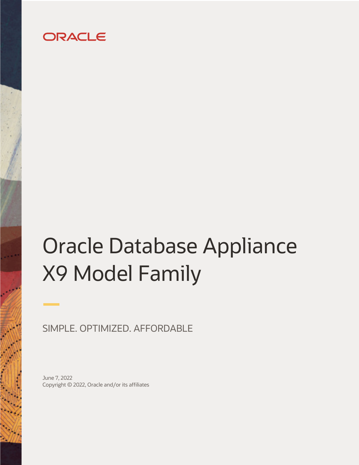## ORACLE

# Oracle Database Appliance X9 Model Family

SIMPLE. OPTIMIZED. AFFORDABLE

June 7, 2022 Copyright © 2022, Oracle and/or its affiliates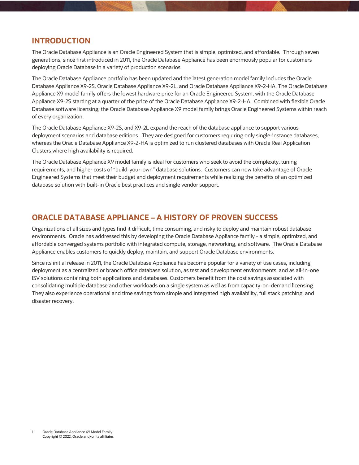## **INTRODUCTION**

The Oracle Database Appliance is an Oracle Engineered System that is simple, optimized, and affordable. Through seven generations, since first introduced in 2011, the Oracle Database Appliance has been enormously popular for customers deploying Oracle Database in a variety of production scenarios.

The Oracle Database Appliance portfolio has been updated and the latest generation model family includes the Oracle Database Appliance X9-2S, Oracle Database Appliance X9-2L, and Oracle Database Appliance X9-2-HA. The Oracle Database Appliance X9 model family offers the lowest hardware price for an Oracle Engineered System, with the Oracle Database Appliance X9-2S starting at a quarter of the price of the Oracle Database Appliance X9-2-HA. Combined with flexible Oracle Database software licensing, the Oracle Database Appliance X9 model family brings Oracle Engineered Systems within reach of every organization.

The Oracle Database Appliance X9-2S, and X9-2L expand the reach of the database appliance to support various deployment scenarios and database editions. They are designed for customers requiring only single-instance databases, whereas the Oracle Database Appliance X9-2-HA is optimized to run clustered databases with Oracle Real Application Clusters where high availability is required.

The Oracle Database Appliance X9 model family is ideal for customers who seek to avoid the complexity, tuning requirements, and higher costs of "build-your-own" database solutions. Customers can now take advantage of Oracle Engineered Systems that meet their budget and deployment requirements while realizing the benefits of an optimized database solution with built-in Oracle best practices and single vendor support.

## **ORACLE DATABASE APPLIANCE – A HISTORY OF PROVEN SUCCESS**

Organizations of all sizes and types find it difficult, time consuming, and risky to deploy and maintain robust database environments. Oracle has addressed this by developing the Oracle Database Appliance family - a simple, optimized, and affordable converged systems portfolio with integrated compute, storage, networking, and software. The Oracle Database Appliance enables customers to quickly deploy, maintain, and support Oracle Database environments.

Since its initial release in 2011, the Oracle Database Appliance has become popular for a variety of use cases, including deployment as a centralized or branch office database solution, as test and development environments, and as all-in-one ISV solutions containing both applications and databases. Customers benefit from the cost savings associated with consolidating multiple database and other workloads on a single system as well as from capacity-on-demand licensing. They also experience operational and time savings from simple and integrated high availability, full stack patching, and disaster recovery.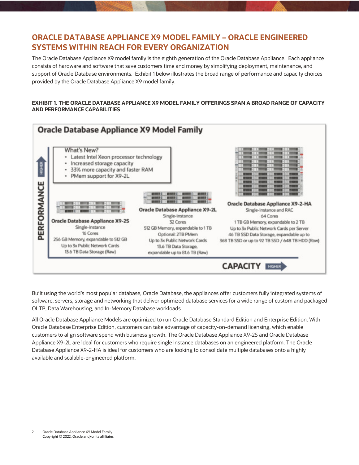## **ORACLE DATABASE APPLIANCE X9 MODEL FAMILY – ORACLE ENGINEERED SYSTEMS WITHIN REACH FOR EVERY ORGANIZATION**

The Oracle Database Appliance X9 model family is the eighth generation of the Oracle Database Appliance. Each appliance consists of hardware and software that save customers time and money by simplifying deployment, maintenance, and support of Oracle Database environments. Exhibit 1 below illustrates the broad range of performance and capacity choices provided by the Oracle Database Appliance X9 model family.

#### **EXHIBIT 1. THE ORACLE DATABASE APPLIANCE X9 MODEL FAMILY OFFERINGS SPAN A BROAD RANGE OF CAPACITY AND PERFORMANCE CAPABILITIES**



Built using the world's most popular database, Oracle Database, the appliances offer customers fully integrated systems of software, servers, storage and networking that deliver optimized database services for a wide range of custom and packaged OLTP, Data Warehousing, and In-Memory Database workloads.

All Oracle Database Appliance Models are optimized to run Oracle Database Standard Edition and Enterprise Edition. With Oracle Database Enterprise Edition, customers can take advantage of capacity-on-demand licensing, which enable customers to align software spend with business growth. The Oracle Database Appliance X9-2S and Oracle Database Appliance X9-2L are ideal for customers who require single instance databases on an engineered platform. The Oracle Database Appliance X9-2-HA is ideal for customers who are looking to consolidate multiple databases onto a highly available and scalable-engineered platform.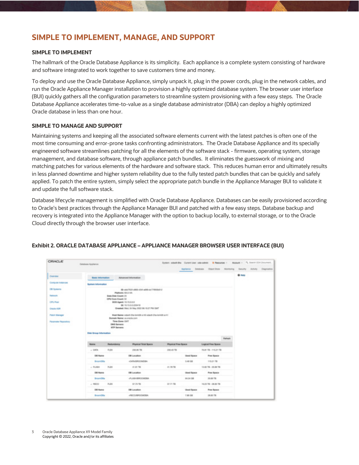## **SIMPLE TO IMPLEMENT, MANAGE, AND SUPPORT**

#### **SIMPLE TO IMPLEMENT**

The hallmark of the Oracle Database Appliance is its simplicity. Each appliance is a complete system consisting of hardware and software integrated to work together to save customers time and money.

To deploy and use the Oracle Database Appliance, simply unpack it, plug in the power cords, plug in the network cables, and run the Oracle Appliance Manager installation to provision a highly optimized database system. The browser user interface (BUI) quickly gathers all the configuration parameters to streamline system provisioning with a few easy steps. The Oracle Database Appliance accelerates time-to-value as a single database administrator (DBA) can deploy a highly optimized Oracle database in less than one hour.

#### **SIMPLE TO MANAGE AND SUPPORT**

Maintaining systems and keeping all the associated software elements current with the latest patches is often one of the most time consuming and error-prone tasks confronting administrators. The Oracle Database Appliance and its specially engineered software streamlines patching for all the elements of the software stack - firmware, operating system, storage management, and database software, through appliance patch bundles. It eliminates the guesswork of mixing and matching patches for various elements of the hardware and software stack. This reduces human error and ultimately results in less planned downtime and higher system reliability due to the fully tested patch bundles that can be quickly and safely applied. To patch the entire system, simply select the appropriate patch bundle in the Appliance Manager BUI to validate it and update the full software stack.

Database lifecycle management is simplified with Oracle Database Appliance. Databases can be easily provisioned according to Oracle's best practices through the Appliance Manager BUI and patched with a few easy steps. Database backup and recovery is integrated into the Appliance Manager with the option to backup locally, to external storage, or to the Oracle Cloud directly through the browser user interface.

| <b>CRACLE</b>                                                                                                                | Databases Appliance       |                                                                                                                                                                                                                                                                                                                                                                                                                           |                             |                     |                   | Sunterc educt-the Current Lier, cyle-admin Resources -               |  |              | Account = 19, Starrit GDI Dissurant |
|------------------------------------------------------------------------------------------------------------------------------|---------------------------|---------------------------------------------------------------------------------------------------------------------------------------------------------------------------------------------------------------------------------------------------------------------------------------------------------------------------------------------------------------------------------------------------------------------------|-----------------------------|---------------------|-------------------|----------------------------------------------------------------------|--|--------------|-------------------------------------|
|                                                                                                                              |                           |                                                                                                                                                                                                                                                                                                                                                                                                                           |                             |                     |                   | Applance between their those Manitolog Security Activity Diagnostics |  |              |                                     |
| Overview                                                                                                                     | <b>Basic Information</b>  |                                                                                                                                                                                                                                                                                                                                                                                                                           | Advanced Internation        |                     |                   |                                                                      |  | <b>Q 100</b> |                                     |
| Compute Instances                                                                                                            | <b>Bystem Information</b> |                                                                                                                                                                                                                                                                                                                                                                                                                           |                             |                     |                   |                                                                      |  |              |                                     |
| Off Systems<br><b>Hallwork</b><br><b>CPU Post</b><br><b>CRACK ASR</b><br><b>Patch Manager</b><br><b>Parameter Repositors</b> |                           | Shadolf 1st abbit 13.8 abbit 179556112<br>Platform XS-2-IAA<br>Easte Disk Count: 31<br>OPEYDAN Dount 32<br>DOS Agent: 10 15/2/22<br><b>GETS 15 DOUGHNS</b><br>Created: Visi, DI May 2022 B6 10:27 PM DAT<br>Head Hames, coloraly (ing develop as AD coloraly (ing develop as in)<br>Bomain Name: us oracle cont<br>Time Done GMT<br><b>DMS Sansare</b><br><b>ATF Servers:</b><br>Disk Brogs-Information<br><b>Farrash</b> |                             |                     |                   |                                                                      |  |              |                                     |
|                                                                                                                              | <b>Name</b>               | Redundency                                                                                                                                                                                                                                                                                                                                                                                                                | <b>Physical Total Space</b> | Physical Free Nooce |                   | <b>Logical Free Notice</b>                                           |  |              |                                     |
|                                                                                                                              | $-100\%$                  | <b>FLEX</b>                                                                                                                                                                                                                                                                                                                                                                                                               | 230,0570.                   | 250.45 TB           |                   | 76.81 TB - 115.21 TB                                                 |  |              |                                     |
|                                                                                                                              | DB Name                   |                                                                                                                                                                                                                                                                                                                                                                                                                           | DB Lacalbon                 |                     | <b>Used Space</b> | Free Space                                                           |  |              |                                     |
|                                                                                                                              | BroomEtha                 |                                                                                                                                                                                                                                                                                                                                                                                                                           | -CATASINOOMDBA              |                     | 3.46 58           | 115.21 TB                                                            |  |              |                                     |
|                                                                                                                              | $v$ FLASH                 | <b>FLEX</b>                                                                                                                                                                                                                                                                                                                                                                                                               | 41.9179                     | 41.7878             |                   | 13:80 TN - 20.69 TH                                                  |  |              |                                     |
|                                                                                                                              | DB Name                   |                                                                                                                                                                                                                                                                                                                                                                                                                           | DB Lacallon                 |                     | Used Space        | Free Space                                                           |  |              |                                     |
|                                                                                                                              | BroomDilla                |                                                                                                                                                                                                                                                                                                                                                                                                                           | <b>JPLASH EPICCARXIA</b>    |                     | 04.04.08          | 20,89 TB                                                             |  |              |                                     |
|                                                                                                                              | $1$ PEOD                  | <b>FLEX</b>                                                                                                                                                                                                                                                                                                                                                                                                               | 57,7579                     | 37.71 TB            |                   | 19:20 TB - 28:85 TB                                                  |  |              |                                     |
|                                                                                                                              | DB Hame                   |                                                                                                                                                                                                                                                                                                                                                                                                                           | DB Lesalism                 |                     | <b>Used Space</b> | Free Space                                                           |  |              |                                     |
|                                                                                                                              | BroomEllis                |                                                                                                                                                                                                                                                                                                                                                                                                                           | -PECO/BROOMOBA              |                     | T.86-58           | 28,85 TB                                                             |  |              |                                     |

#### **Exhibit 2. ORACLE DATABASE APPLIANCE – APPLIANCE MANAGER BROWSER USER INTERFACE (BUI)**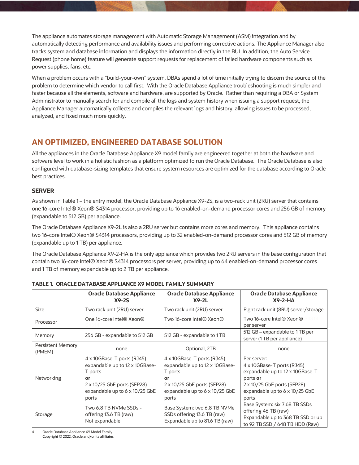The appliance automates storage management with Automatic Storage Management (ASM) integration and by automatically detecting performance and availability issues and performing corrective actions. The Appliance Manager also tracks system and database information and displays the information directly in the BUI. In addition, the Auto Service Request (phone home) feature will generate support requests for replacement of failed hardware components such as power supplies, fans, etc.

When a problem occurs with a "build-your-own" system, DBAs spend a lot of time initially trying to discern the source of the problem to determine which vendor to call first. With the Oracle Database Appliance troubleshooting is much simpler and faster because all the elements, software and hardware, are supported by Oracle. Rather than requiring a DBA or System Administrator to manually search for and compile all the logs and system history when issuing a support request, the Appliance Manager automatically collects and compiles the relevant logs and history, allowing issues to be processed, analyzed, and fixed much more quickly.

## **AN OPTIMIZED, ENGINEERED DATABASE SOLUTION**

All the appliances in the Oracle Database Appliance X9 model family are engineered together at both the hardware and software level to work in a holistic fashion as a platform optimized to run the Oracle Database. The Oracle Database is also configured with database-sizing templates that ensure system resources are optimized for the database according to Oracle best practices.

#### **SERVER**

As shown in Table 1 – the entry model, the Oracle Database Appliance X9-2S, is a two-rack unit (2RU) server that contains one 16-core Intel® Xeon® S4314 processor, providing up to 16 enabled-on-demand processor cores and 256 GB of memory (expandable to 512 GB) per appliance.

The Oracle Database Appliance X9-2L is also a 2RU server but contains more cores and memory. This appliance contains two 16-core Intel® Xeon® S4314 processors, providing up to 32 enabled-on-demand processor cores and 512 GB of memory (expandable up to 1 TB) per appliance.

The Oracle Database Appliance X9-2-HA is the only appliance which provides two 2RU servers in the base configuration that contain two 16-core Intel® Xeon® S4314 processors per server, providing up to 64 enabled-on-demand processor cores and 1 TB of memory expandable up to 2 TB per appliance.

|                                    | <b>Oracle Database Appliance</b><br>$X9-2S$                                                                                                             | <b>Oracle Database Appliance</b><br>$X9-2L$                                                                                                                    | <b>Oracle Database Appliance</b><br>$X9 - 2 - HA$                                                                                                                  |
|------------------------------------|---------------------------------------------------------------------------------------------------------------------------------------------------------|----------------------------------------------------------------------------------------------------------------------------------------------------------------|--------------------------------------------------------------------------------------------------------------------------------------------------------------------|
| <b>Size</b>                        | Two rack unit (2RU) server                                                                                                                              | Two rack unit (2RU) server                                                                                                                                     | Eight rack unit (8RU) server/storage                                                                                                                               |
| Processor                          | One 16-core Intel® Xeon®                                                                                                                                | Two 16-core Intel <sup>®</sup> Xeon <sup>®</sup>                                                                                                               | Two 16-core Intel <sup>®</sup> Xeon <sup>®</sup><br>per server                                                                                                     |
| Memory                             | 256 GB - expandable to 512 GB                                                                                                                           | 512 GB - expandable to 1 TB                                                                                                                                    | 512 GB – expandable to 1 TB per<br>server (1 TB per appliance)                                                                                                     |
| <b>Persistent Memory</b><br>(PMEM) | none                                                                                                                                                    | Optional, 2TB                                                                                                                                                  | none                                                                                                                                                               |
| Networking                         | 4 x 10GBase-T ports (RJ45)<br>expandable up to 12 x 10GBase-<br>T ports<br>or<br>2 x 10/25 GbE ports (SFP28)<br>expandable up to 6 x 10/25 GbE<br>ports | 4 x 10GBase-T ports (RJ45)<br>expandable up to 12 x 10GBase-<br>T ports<br>or<br>2 x 10/25 GbE ports (SFP28)<br>expandable up to $6 \times 10/25$ GbE<br>ports | Per server:<br>4 x 10GBase-T ports (RJ45)<br>expandable up to 12 x 10GBase-T<br>ports or<br>2 x 10/25 GbE ports (SFP28)<br>expandable up to 6 x 10/25 GbE<br>ports |
| Storage                            | Two 6.8 TB NVMe SSDs -<br>offering 13.6 TB (raw)<br>Not expandable                                                                                      | Base System: two 6.8 TB NVMe<br>SSDs offering 13.6 TB (raw)<br>Expandable up to 81.6 TB (raw)                                                                  | Base System: six 7.68 TB SSDs<br>offering 46 TB (raw)<br>Expandable up to 368 TB SSD or up<br>to 92 TB SSD / 648 TB HDD (Raw)                                      |

#### **TABLE 1. ORACLE DATABASE APPLIANCE X9 MODEL FAMILY SUMMARY**

4 Oracle Database Appliance X9 Model Family Copyright © 2022, Oracle and/or its affiliates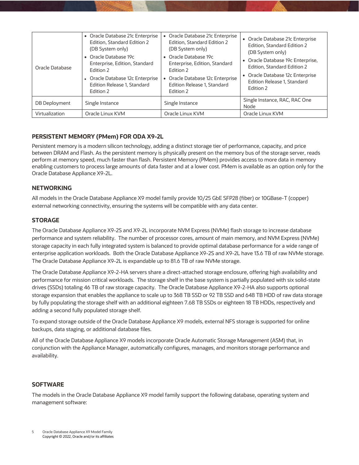| Oracle Database | • Oracle Database 21c Enterprise<br>Edition, Standard Edition 2<br>(DB System only)<br>• Oracle Database 19c<br>Enterprise, Edition, Standard<br>Edition 2<br>Oracle Database 12c Enterprise<br>Edition Release 1, Standard<br>Edition 2 | Oracle Database 21c Enterprise<br>Edition, Standard Edition 2<br>(DB System only)<br>• Oracle Database 19c<br>Enterprise, Edition, Standard<br>Edition 2<br>Oracle Database 12c Enterprise<br>Edition Release 1, Standard<br>Edition 2 | Oracle Database 21c Enterprise<br>Edition, Standard Edition 2<br>(DB System only)<br>Oracle Database 19c Enterprise,<br>٠<br>Edition, Standard Edition 2<br>Oracle Database 12c Enterprise<br>Edition Release 1, Standard<br>Edition 2 |
|-----------------|------------------------------------------------------------------------------------------------------------------------------------------------------------------------------------------------------------------------------------------|----------------------------------------------------------------------------------------------------------------------------------------------------------------------------------------------------------------------------------------|----------------------------------------------------------------------------------------------------------------------------------------------------------------------------------------------------------------------------------------|
| DB Deployment   | Single Instance                                                                                                                                                                                                                          | Single Instance                                                                                                                                                                                                                        | Single Instance, RAC, RAC One<br>Node                                                                                                                                                                                                  |
| Virtualization  | Oracle Linux KVM                                                                                                                                                                                                                         | Oracle Linux KVM                                                                                                                                                                                                                       | Oracle Linux KVM                                                                                                                                                                                                                       |

#### **PERSISTENT MEMORY (PMem) FOR ODA X9-2L**

Persistent memory is a modern silicon technology, adding a distinct storage tier of performance, capacity, and price between DRAM and Flash. As the persistent memory is physically present on the memory bus of the storage server, reads perform at memory speed, much faster than flash. Persistent Memory (PMem) provides access to more data in memory enabling customers to process large amounts of data faster and at a lower cost. PMem is available as an option only for the Oracle Database Appliance X9-2L.

#### **NETWORKING**

All models in the Oracle Database Appliance X9 model family provide 10/25 GbE SFP28 (fiber) or 10GBase-T (copper) external networking connectivity, ensuring the systems will be compatible with any data center.

#### **STORAGE**

The Oracle Database Appliance X9-2S and X9-2L incorporate NVM Express (NVMe) flash storage to increase database performance and system reliability. The number of processor cores, amount of main memory, and NVM Express (NVMe) storage capacity in each fully integrated system is balanced to provide optimal database performance for a wide range of enterprise application workloads. Both the Oracle Database Appliance X9-2S and X9-2L have 13.6 TB of raw NVMe storage. The Oracle Database Appliance X9-2L is expandable up to 81.6 TB of raw NVMe storage.

The Oracle Database Appliance X9-2-HA servers share a direct-attached storage enclosure, offering high availability and performance for mission critical workloads. The storage shelf in the base system is partially populated with six solid-state drives (SSDs) totaling 46 TB of raw storage capacity. The Oracle Database Appliance X9-2-HA also supports optional storage expansion that enables the appliance to scale up to 368 TB SSD or 92 TB SSD and 648 TB HDD of raw data storage by fully populating the storage shelf with an additional eighteen 7.68 TB SSDs or eighteen 18 TB HDDs, respectively and adding a second fully populated storage shelf.

To expand storage outside of the Oracle Database Appliance X9 models, external NFS storage is supported for online backups, data staging, or additional database files.

All of the Oracle Database Appliance X9 models incorporate Oracle Automatic Storage Management (ASM) that, in conjunction with the Appliance Manager, automatically configures, manages, and monitors storage performance and availability.

#### **SOFTWARE**

The models in the Oracle Database Appliance X9 model family support the following database, operating system and management software: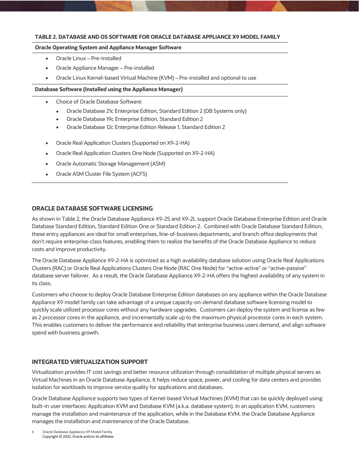#### **TABLE 2. DATABASE AND OS SOFTWARE FOR ORACLE DATABASE APPLIANCE X9 MODEL FAMILY**

#### **Oracle Operating System and Appliance Manager Software**

- Oracle Linux Pre-installed
- Oracle Appliance Manager Pre-installed
- Oracle Linux Kernel-based Virtual Machine (KVM) Pre-installed and optional to use

#### **Database Software (Installed using the Appliance Manager)**

- Choice of Oracle Database Software:
	- Oracle Database 21c Enterprise Edition, Standard Edition 2 (DB Systems only)
	- Oracle Database 19c Enterprise Edition, Standard Edition 2
	- Oracle Database 12c Enterprise Edition Release 1, Standard Edition 2
- Oracle Real Application Clusters (Supported on X9-2-HA)
- Oracle Real Application Clusters One Node (Supported on X9-2-HA)
- Oracle Automatic Storage Management (ASM)
- Oracle ASM Cluster File System (ACFS)

#### **ORACLE DATABASE SOFTWARE LICENSING**

As shown in Table 2, the Oracle Database Appliance X9-2S and X9-2L support Oracle Database Enterprise Edition and Oracle Database Standard Edition, Standard Edition One or Standard Edition 2. Combined with Oracle Database Standard Edition, these entry appliances are ideal for small enterprises, line-of-business departments, and branch office deployments that don't require enterprise-class features, enabling them to realize the benefits of the Oracle Database Appliance to reduce costs and improve productivity.

The Oracle Database Appliance X9-2-HA is optimized as a high availability database solution using Oracle Real Applications Clusters (RAC) or Oracle Real Applications Clusters One Node (RAC One Node) for "active-active" or "active-passive" database server failover. As a result, the Oracle Database Appliance X9-2-HA offers the highest availability of any system in its class.

Customers who choose to deploy Oracle Database Enterprise Edition databases on any appliance within the Oracle Database Appliance X9 model family can take advantage of a unique capacity-on-demand database software licensing model to quickly scale utilized processor cores without any hardware upgrades. Customers can deploy the system and license as few as 2 processor cores in the appliance, and incrementally scale up to the maximum physical processor cores in each system. This enables customers to deliver the performance and reliability that enterprise business users demand, and align software spend with business growth.

#### **INTEGRATED VIRTUALIZATION SUPPORT**

Virtualization provides IT cost savings and better resource utilization through consolidation of multiple physical servers as Virtual Machines in an Oracle Database Appliance. It helps reduce space, power, and cooling for data centers and provides isolation for workloads to improve service quality for applications and databases.

Oracle Database Appliance supports two types of Kernel-based Virtual Machines (KVM) that can be quickly deployed using built-in user interfaces: Application KVM and Database KVM (a.k.a. database system). In an application KVM, customers manage the installation and maintenance of the application, while in the Database KVM, the Oracle Database Appliance manages the installation and maintenance of the Oracle Database.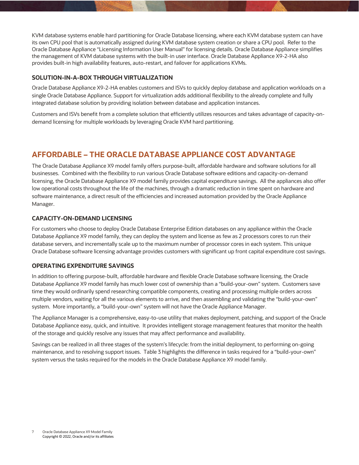KVM database systems enable hard partitioning for Oracle Database licensing, where each KVM database system can have its own CPU pool that is automatically assigned during KVM database system creation or share a CPU pool. Refer to the Oracle Database Appliance "Licensing Information User Manual" for licensing details. Oracle Database Appliance simplifies the management of KVM database systems with the built-in user interface. Oracle Database Appliance X9-2-HA also provides built-in high availability features, auto-restart, and failover for applications KVMs.

#### **SOLUTION-IN-A-BOX THROUGH VIRTUALIZATION**

Oracle Database Appliance X9-2-HA enables customers and ISVs to quickly deploy database and application workloads on a single Oracle Database Appliance. Support for virtualization adds additional flexibility to the already complete and fully integrated database solution by providing isolation between database and application instances.

Customers and ISVs benefit from a complete solution that efficiently utilizes resources and takes advantage of capacity-ondemand licensing for multiple workloads by leveraging Oracle KVM hard partitioning.

## **AFFORDABLE – THE ORACLE DATABASE APPLIANCE COST ADVANTAGE**

The Oracle Database Appliance X9 model family offers purpose-built, affordable hardware and software solutions for all businesses. Combined with the flexibility to run various Oracle Database software editions and capacity-on-demand licensing, the Oracle Database Appliance X9 model family provides capital expenditure savings. All the appliances also offer low operational costs throughout the life of the machines, through a dramatic reduction in time spent on hardware and software maintenance, a direct result of the efficiencies and increased automation provided by the Oracle Appliance Manager.

#### **CAPACITY-ON-DEMAND LICENSING**

For customers who choose to deploy Oracle Database Enterprise Edition databases on any appliance within the Oracle Database Appliance X9 model family, they can deploy the system and license as few as 2 processors cores to run their database servers, and incrementally scale up to the maximum number of processor cores in each system. This unique Oracle Database software licensing advantage provides customers with significant up front capital expenditure cost savings.

#### **OPERATING EXPENDITURE SAVINGS**

In addition to offering purpose-built, affordable hardware and flexible Oracle Database software licensing, the Oracle Database Appliance X9 model family has much lower cost of ownership than a "build-your-own" system. Customers save time they would ordinarily spend researching compatible components, creating and processing multiple orders across multiple vendors, waiting for all the various elements to arrive, and then assembling and validating the "build-your-own" system. More importantly, a "build-your-own" system will not have the Oracle Appliance Manager.

The Appliance Manager is a comprehensive, easy-to-use utility that makes deployment, patching, and support of the Oracle Database Appliance easy, quick, and intuitive. It provides intelligent storage management features that monitor the health of the storage and quickly resolve any issues that may affect performance and availability.

Savings can be realized in all three stages of the system's lifecycle: from the initial deployment, to performing on-going maintenance, and to resolving support issues. Table 3 highlights the difference in tasks required for a "build-your-own" system versus the tasks required for the models in the Oracle Database Appliance X9 model family.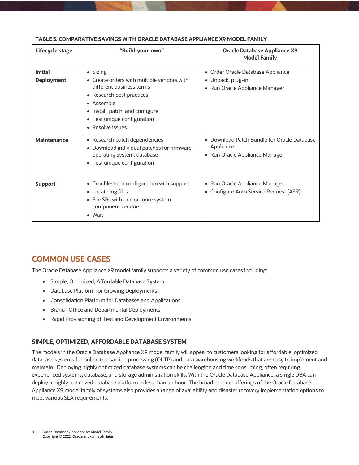| Lifecycle stage                     | "Build-your-own"                                                                                                                                                                                                    | <b>Oracle Database Appliance X9</b><br><b>Model Family</b>                                            |
|-------------------------------------|---------------------------------------------------------------------------------------------------------------------------------------------------------------------------------------------------------------------|-------------------------------------------------------------------------------------------------------|
| <b>Initial</b><br><b>Deployment</b> | • Sizing<br>• Create orders with multiple vendors with<br>different business terms<br>• Research best practices<br>• Assemble<br>• Install, patch, and configure<br>• Test unique configuration<br>• Resolve issues | • Order Oracle Database Appliance<br>• Unpack, plug-in<br>• Run Oracle Appliance Manager              |
| <b>Maintenance</b>                  | • Research patch dependencies<br>• Download individual patches for firmware,<br>operating system, database<br>• Test unique configuration                                                                           | Download Patch Bundle for Oracle Database<br>$\bullet$<br>Appliance<br>• Run Oracle Appliance Manager |
| <b>Support</b>                      | • Troubleshoot configuration with support<br>• Locate log files<br>• File SRs with one or more system<br>component vendors<br>• Wait                                                                                | • Run Oracle Appliance Manager<br>• Configure Auto Service Request (ASR)                              |

#### **TABLE 3. COMPARATIVE SAVINGS WITH ORACLE DATABASE APPLIANCE X9 MODEL FAMILY**

## **COMMON USE CASES**

The Oracle Database Appliance X9 model family supports a variety of common use cases including:

- Simple, Optimized, Affordable Database System
- Database Platform for Growing Deployments
- Consolidation Platform for Databases and Applications
- Branch Office and Departmental Deployments
- Rapid Provisioning of Test and Development Environments

#### **SIMPLE, OPTIMIZED, AFFORDABLE DATABASE SYSTEM**

The models in the Oracle Database Appliance X9 model family will appeal to customers looking for affordable, optimized database systems for online transaction processing (OLTP) and data warehousing workloads that are easy to implement and maintain. Deploying highly optimized database systems can be challenging and time consuming, often requiring experienced systems, database, and storage administration skills. With the Oracle Database Appliance, a single DBA can deploy a highly optimized database platform in less than an hour. The broad product offerings of the Oracle Database Appliance X9 model family of systems also provides a range of availability and disaster recovery implementation options to meet various SLA requirements.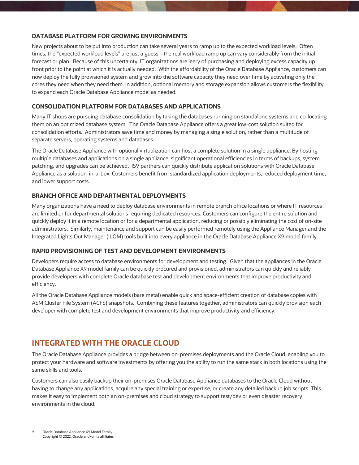#### **DATABASE PLATFORM FOR GROWING ENVIRONMENTS**

New projects about to be put into production can take several years to ramp up to the expected workload levels. Often times, the "expected workload levels" are just a guess – the real workload ramp up can vary considerably from the initial forecast or plan. Because of this uncertainty, IT organizations are leery of purchasing and deploying excess capacity up front prior to the point at which it is actually needed. With the affordability of the Oracle Database Appliance, customers can now deploy the fully provisioned system and grow into the software capacity they need over time by activating only the cores they need when they need them. In addition, optional memory and storage expansion allows customers the flexibility to expand each Oracle Database Appliance model as needed.

#### **CONSOLIDATION PLATFORM FOR DATABASES AND APPLICATIONS**

Many IT shops are pursuing database consolidation by taking the databases running on standalone systems and co-locating them on an optimized database system. The Oracle Database Appliance offers a great low-cost solution suited for consolidation efforts. Administrators save time and money by managing a single solution, rather than a multitude of separate servers, operating systems and databases.

The Oracle Database Appliance with optional virtualization can host a complete solution in a single appliance. By hosting multiple databases and applications on a single appliance, significant operational efficiencies in terms of backups, system patching, and upgrades can be achieved. ISV partners can quickly distribute application solutions with Oracle Database Appliance as a solution-in-a-box. Customers benefit from standardized application deployments, reduced deployment time, and lower support costs.

#### **BRANCH OFFICE AND DEPARTMENTAL DEPLOYMENTS**

Many organizations have a need to deploy database environments in remote branch office locations or where IT resources are limited or for departmental solutions requiring dedicated resources. Customers can configure the entire solution and quickly deploy it in a remote location or for a departmental application, reducing or possibly eliminating the cost of on-site administrators. Similarly, maintenance and support can be easily performed remotely using the Appliance Manager and the Integrated Lights Out Manager (ILOM) tools built into every appliance in the Oracle Database Appliance X9 model family.

#### **RAPID PROVISIONING OF TEST AND DEVELOPMENT ENVIRONMENTS**

Developers require access to database environments for development and testing. Given that the appliances in the Oracle Database Appliance X9 model family can be quickly procured and provisioned, administrators can quickly and reliably provide developers with complete Oracle database test and development environments that improve productivity and efficiency.

All the Oracle Database Appliance models (bare metal) enable quick and space-efficient creation of database copies with ASM Cluster File System (ACFS) snapshots. Combining these features together, administrators can quickly provision each developer with complete test and development environments that improve productivity and efficiency.

## **INTEGRATED WITH THE ORACLE CLOUD**

The Oracle Database Appliance provides a bridge between on-premises deployments and the Oracle Cloud, enabling you to protect your hardware and software investments by offering you the ability to run the same stack in both locations using the same skills and tools.

Customers can also easily backup their on-premises Oracle Database Appliance databases to the Oracle Cloud without having to change any applications, acquire any special training or expertise, or create any detailed backup job scripts. This makes it easy to implement both an on-premises and cloud strategy to support test/dev or even disaster recovery environments in the cloud.